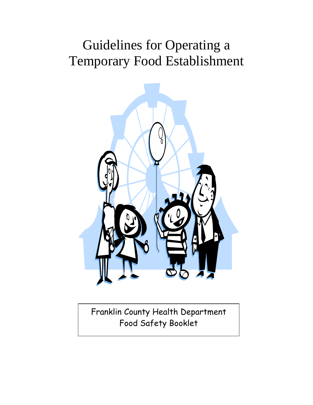# Guidelines for Operating a Temporary Food Establishment



Franklin County Health Department Food Safety Booklet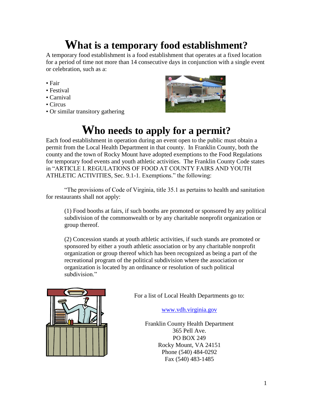## **What is a temporary food establishment?**

A temporary food establishment is a food establishment that operates at a fixed location for a period of time not more than 14 consecutive days in conjunction with a single event or celebration, such as a:

- Fair
- Festival
- Carnival
- Circus
- Or similar transitory gathering



## **Who needs to apply for a permit?**

Each food establishment in operation during an event open to the public must obtain a permit from the Local Health Department in that county. In Franklin County, both the county and the town of Rocky Mount have adopted exemptions to the Food Regulations for temporary food events and youth athletic activities. The Franklin County Code states in "ARTICLE I. REGULATIONS OF FOOD AT COUNTY FAIRS AND YOUTH ATHLETIC ACTIVITIES, Sec. 9.1-1. Exemptions." the following:

"The provisions of Code of Virginia, title 35.1 as pertains to health and sanitation for restaurants shall not apply:

(1) Food booths at fairs, if such booths are promoted or sponsored by any political subdivision of the commonwealth or by any charitable nonprofit organization or group thereof.

(2) Concession stands at youth athletic activities, if such stands are promoted or sponsored by either a youth athletic association or by any charitable nonprofit organization or group thereof which has been recognized as being a part of the recreational program of the political subdivision where the association or organization is located by an ordinance or resolution of such political subdivision."



For a list of Local Health Departments go to:

[www.vdh.virginia.gov](http://www.vdh.virginia.gov/)

Franklin County Health Department 365 Pell Ave. PO BOX 249 Rocky Mount, VA 24151 Phone (540) 484-0292 Fax (540) 483-1485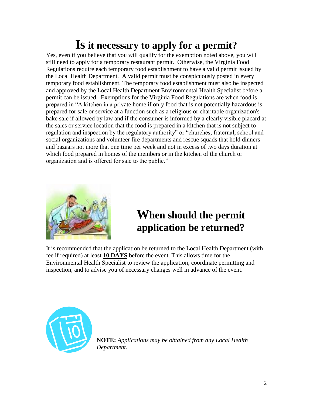## **Is it necessary to apply for a permit?**

Yes, even if you believe that you will qualify for the exemption noted above, you will still need to apply for a temporary restaurant permit. Otherwise, the Virginia Food Regulations require each temporary food establishment to have a valid permit issued by the Local Health Department. A valid permit must be conspicuously posted in every temporary food establishment. The temporary food establishment must also be inspected and approved by the Local Health Department Environmental Health Specialist before a permit can be issued. Exemptions for the Virginia Food Regulations are when food is prepared in "A kitchen in a private home if only food that is not potentially hazardous is prepared for sale or service at a function such as a religious or charitable organization's bake sale if allowed by law and if the consumer is informed by a clearly visible placard at the sales or service location that the food is prepared in a kitchen that is not subject to regulation and inspection by the regulatory authority" or "churches, fraternal, school and social organizations and volunteer fire departments and rescue squads that hold dinners and bazaars not more that one time per week and not in excess of two days duration at which food prepared in homes of the members or in the kitchen of the church or organization and is offered for sale to the public."



## **When should the permit application be returned?**

It is recommended that the application be returned to the Local Health Department (with fee if required) at least **10 DAYS** before the event. This allows time for the Environmental Health Specialist to review the application, coordinate permitting and inspection, and to advise you of necessary changes well in advance of the event.



**NOTE:** *Applications may be obtained from any Local Health Department.*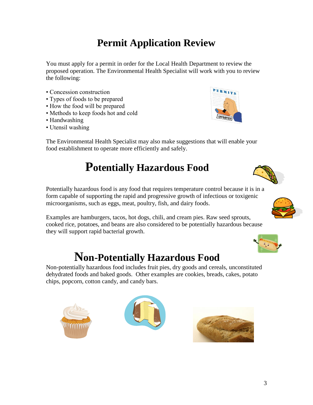## **Permit Application Review**

You must apply for a permit in order for the Local Health Department to review the proposed operation. The Environmental Health Specialist will work with you to review the following:

- Concession construction
- Types of foods to be prepared
- How the food will be prepared
- Methods to keep foods hot and cold
- Handwashing
- Utensil washing



The Environmental Health Specialist may also make suggestions that will enable your food establishment to operate more efficiently and safely.

## **Potentially Hazardous Food**

Potentially hazardous food is any food that requires temperature control because it is in a form capable of supporting the rapid and progressive growth of infectious or toxigenic microorganisms, such as eggs, meat, poultry, fish, and dairy foods.

Examples are hamburgers, tacos, hot dogs, chili, and cream pies. Raw seed sprouts, cooked rice, potatoes, and beans are also considered to be potentially hazardous because they will support rapid bacterial growth.

## **Non-Potentially Hazardous Food**

Non-potentially hazardous food includes fruit pies, dry goods and cereals, unconstituted dehydrated foods and baked goods. Other examples are cookies, breads, cakes, potato chips, popcorn, cotton candy, and candy bars.









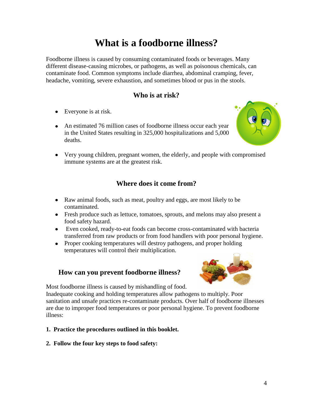### **What is a foodborne illness?**

Foodborne illness is caused by consuming contaminated foods or beverages. Many different disease-causing microbes, or pathogens, as well as poisonous chemicals, can contaminate food. Common symptoms include diarrhea, abdominal cramping, fever, headache, vomiting, severe exhaustion, and sometimes blood or pus in the stools.

#### **Who is at risk?**

- Everyone is at risk.
- An estimated 76 million cases of foodborne illness occur each year in the United States resulting in 325,000 hospitalizations and 5,000 deaths.



Very young children, pregnant women, the elderly, and people with compromised immune systems are at the greatest risk.

#### **Where does it come from?**

- Raw animal foods, such as meat, poultry and eggs, are most likely to be contaminated.
- Fresh produce such as lettuce, tomatoes, sprouts, and melons may also present a food safety hazard.
- Even cooked, ready-to-eat foods can become cross-contaminated with bacteria transferred from raw products or from food handlers with poor personal hygiene.
- Proper cooking temperatures will destroy pathogens, and proper holding temperatures will control their multiplication.

#### **How can you prevent foodborne illness?**



Most foodborne illness is caused by mishandling of food.

Inadequate cooking and holding temperatures allow pathogens to multiply. Poor sanitation and unsafe practices re-contaminate products. Over half of foodborne illnesses are due to improper food temperatures or poor personal hygiene. To prevent foodborne illness:

#### **1. Practice the procedures outlined in this booklet.**

**2. Follow the four key steps to food safety:**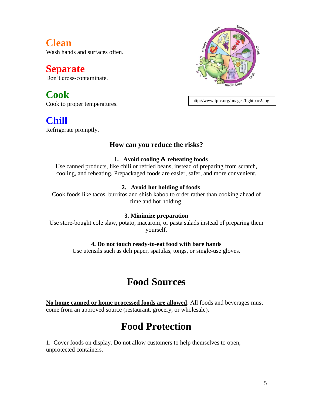**Clean** Wash hands and surfaces often.

**Separate** Don't cross-contaminate.

**Cook** Cook to proper temperatures.

**Chill** Refrigerate promptly.

#### **How can you reduce the risks?**

#### **1. Avoid cooling & reheating foods**

Use canned products, like chili or refried beans, instead of preparing from scratch, cooling, and reheating. Prepackaged foods are easier, safer, and more convenient.

#### **2. Avoid hot holding of foods**

Cook foods like tacos, burritos and shish kabob to order rather than cooking ahead of time and hot holding.

#### **3. Minimize preparation**

Use store-bought cole slaw, potato, macaroni, or pasta salads instead of preparing them yourself.

#### **4. Do not touch ready-to-eat food with bare hands**

Use utensils such as deli paper, spatulas, tongs, or single-use gloves.

#### **Food Sources**

**No home canned or home processed foods are allowed**. All foods and beverages must come from an approved source (restaurant, grocery, or wholesale).

### **Food Protection**

1. Cover foods on display. Do not allow customers to help themselves to open, unprotected containers.



http://www.fpfc.org/images/fightbac2.jpg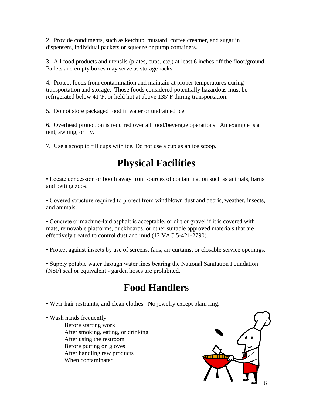2. Provide condiments, such as ketchup, mustard, coffee creamer, and sugar in dispensers, individual packets or squeeze or pump containers.

3. All food products and utensils (plates, cups, etc,) at least 6 inches off the floor/ground. Pallets and empty boxes may serve as storage racks.

4. Protect foods from contamination and maintain at proper temperatures during transportation and storage. Those foods considered potentially hazardous must be refrigerated below 41°F, or held hot at above 135°F during transportation.

5. Do not store packaged food in water or undrained ice.

6. Overhead protection is required over all food/beverage operations. An example is a tent, awning, or fly.

7. Use a scoop to fill cups with ice. Do not use a cup as an ice scoop.

## **Physical Facilities**

• Locate concession or booth away from sources of contamination such as animals, barns and petting zoos.

• Covered structure required to protect from windblown dust and debris, weather, insects, and animals.

• Concrete or machine-laid asphalt is acceptable, or dirt or gravel if it is covered with mats, removable platforms, duckboards, or other suitable approved materials that are effectively treated to control dust and mud (12 VAC 5-421-2790).

• Protect against insects by use of screens, fans, air curtains, or closable service openings.

• Supply potable water through water lines bearing the National Sanitation Foundation (NSF) seal or equivalent - garden hoses are prohibited.

#### **Food Handlers**

• Wear hair restraints, and clean clothes. No jewelry except plain ring.

• Wash hands frequently:

Before starting work After smoking, eating, or drinking After using the restroom Before putting on gloves After handling raw products When contaminated

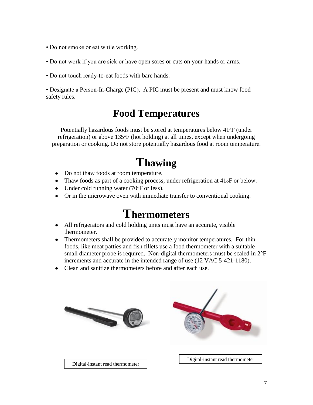- Do not smoke or eat while working.
- Do not work if you are sick or have open sores or cuts on your hands or arms.
- Do not touch ready-to-eat foods with bare hands.

• Designate a Person-In-Charge (PIC). A PIC must be present and must know food safety rules.

#### **Food Temperatures**

Potentially hazardous foods must be stored at temperatures below 41°F (under refrigeration) or above 135°F (hot holding) at all times, except when undergoing preparation or cooking. Do not store potentially hazardous food at room temperature.

# **Thawing**

- Do not thaw foods at room temperature.
- Thaw foods as part of a cooking process; under refrigeration at 41oF or below.
- Under cold running water (70 $\degree$ F or less).
- Or in the microwave oven with immediate transfer to conventional cooking.

### **Thermometers**

- All refrigerators and cold holding units must have an accurate, visible thermometer.
- Thermometers shall be provided to accurately monitor temperatures. For thin foods, like meat patties and fish fillets use a food thermometer with a suitable small diameter probe is required. Non-digital thermometers must be scaled in 2°F increments and accurate in the intended range of use (12 VAC 5-421-1180).
- Clean and sanitize thermometers before and after each use.

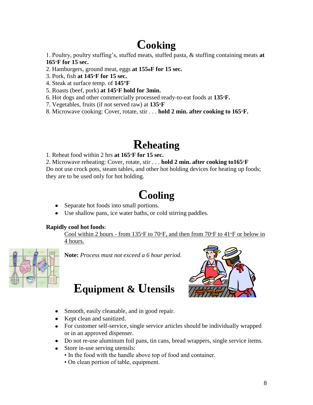# **Cooking**

1. Poultry, poultry stuffing's, stuffed meats, stuffed pasta, & stuffing containing meats **at 165°F for 15 sec.**

- 2. Hamburgers, ground meat, eggs **at 155oF for 15 sec.**
- 3. Pork, fish **at 145°F for 15 sec.**
- 4. Steak at surface temp. of **145°F**
- 5. Roasts (beef, pork) **at 145°F hold for 3min.**
- 6. Hot dogs and other commercially processed ready-to-eat foods at **135°F.**
- 7. Vegetables, fruits (if not served raw) at **135°F**
- 8. Microwave cooking: Cover, rotate, stir . . . **hold 2 min. after cooking to 165°F.**

## **Reheating**

1. Reheat food within 2 hrs **at 165°F for 15 sec.**

2. Microwave reheating: Cover, rotate, stir . . . **hold 2 min. after cooking to165°F** Do not use crock pots, steam tables, and other hot holding devices for heating up foods; they are to be used only for hot holding.

# **Cooling**

- Separate hot foods into small portions.
- Use shallow pans, ice water baths, or cold stirring paddles.

#### **Rapidly cool hot foods**:

Cool within 2 hours - from 135°F to 70°F, and then from 70°F to 41°F or below in 4 hours.



**Note:** *Process must not exceed a 6 hour period.*

## **Equipment & Utensils**



- Smooth, easily cleanable, and in good repair.
- Kept clean and sanitized.
- For customer self-service, single service articles should be individually wrapped or in an approved dispenser.
- Do not re-use aluminum foil pans, tin cans, bread wrappers, single service items.
- Store in-use serving utensils:
	- In the food with the handle above top of food and container.
	- On clean portion of table, equipment.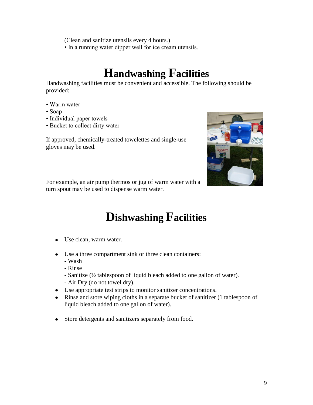(Clean and sanitize utensils every 4 hours.)

• In a running water dipper well for ice cream utensils.

# **Handwashing Facilities**

Handwashing facilities must be convenient and accessible. The following should be provided:

- Warm water
- Soap
- Individual paper towels
- Bucket to collect dirty water

If approved, chemically-treated towelettes and single-use gloves may be used.



For example, an air pump thermos or jug of warm water with a turn spout may be used to dispense warm water.

# **Dishwashing Facilities**

- Use clean, warm water.
- Use a three compartment sink or three clean containers:
	- Wash
	- Rinse
	- Sanitize (½ tablespoon of liquid bleach added to one gallon of water).
	- Air Dry (do not towel dry).
- Use appropriate test strips to monitor sanitizer concentrations.
- Rinse and store wiping cloths in a separate bucket of sanitizer (1 tablespoon of liquid bleach added to one gallon of water).
- Store detergents and sanitizers separately from food.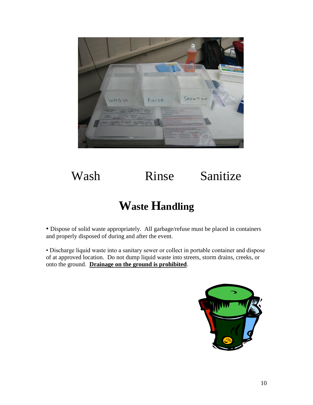

# Wash Rinse Sanitize

## **Waste Handling**

• Dispose of solid waste appropriately. All garbage/refuse must be placed in containers and properly disposed of during and after the event.

• Discharge liquid waste into a sanitary sewer or collect in portable container and dispose of at approved location. Do not dump liquid waste into streets, storm drains, creeks, or onto the ground. **Drainage on the ground is prohibited**.